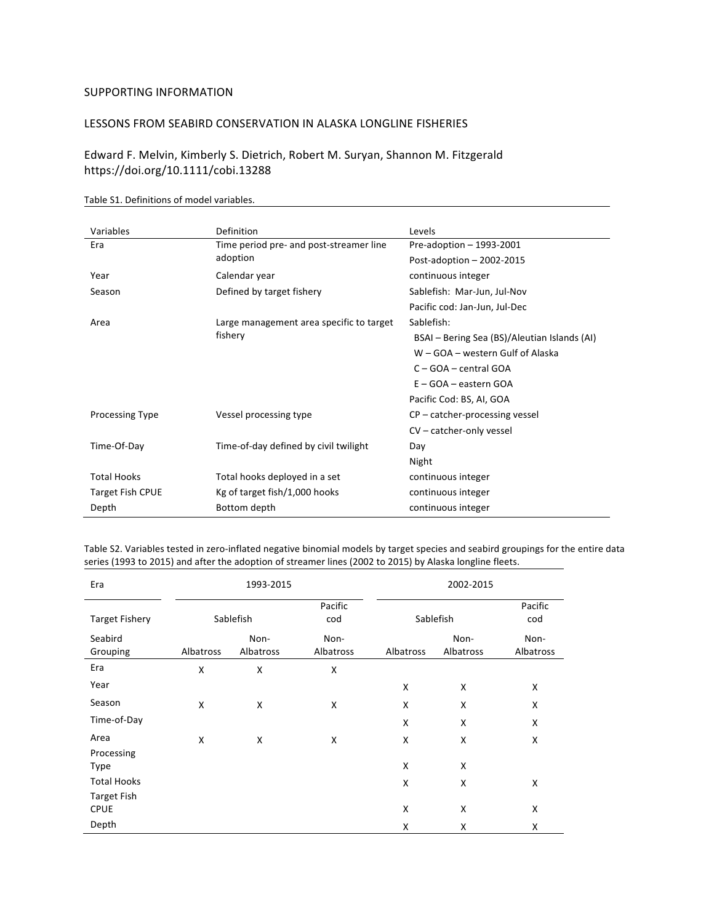## SUPPORTING INFORMATION

## LESSONS FROM SEABIRD CONSERVATION IN ALASKA LONGLINE FISHERIES

Edward F. Melvin, Kimberly S. Dietrich, Robert M. Suryan, Shannon M. Fitzgerald https://doi.org/10.1111/cobi.13288 

| Variables              | Definition                               | Levels                                       |  |  |
|------------------------|------------------------------------------|----------------------------------------------|--|--|
| Era                    | Time period pre- and post-streamer line  | Pre-adoption - 1993-2001                     |  |  |
|                        | adoption                                 | Post-adoption $-2002-2015$                   |  |  |
| Year                   | Calendar year                            | continuous integer                           |  |  |
| Season                 | Defined by target fishery                | Sablefish: Mar-Jun, Jul-Nov                  |  |  |
|                        |                                          | Pacific cod: Jan-Jun, Jul-Dec                |  |  |
| Area                   | Large management area specific to target | Sablefish:                                   |  |  |
|                        | fishery                                  | BSAI – Bering Sea (BS)/Aleutian Islands (AI) |  |  |
|                        |                                          | W – GOA – western Gulf of Alaska             |  |  |
|                        |                                          | $C - GOA - central GOA$                      |  |  |
|                        |                                          | $E - GOA - eastern GOA$                      |  |  |
|                        |                                          | Pacific Cod: BS, AI, GOA                     |  |  |
| <b>Processing Type</b> | Vessel processing type                   | $CP$ – catcher-processing vessel             |  |  |
|                        |                                          | CV - catcher-only vessel                     |  |  |
| Time-Of-Day            | Time-of-day defined by civil twilight    | Day                                          |  |  |
|                        |                                          | Night                                        |  |  |
| <b>Total Hooks</b>     | Total hooks deployed in a set            | continuous integer                           |  |  |
| Target Fish CPUE       | Kg of target fish/1,000 hooks            | continuous integer                           |  |  |
| Depth                  | Bottom depth                             | continuous integer                           |  |  |

Table S1. Definitions of model variables.

Table S2. Variables tested in zero-inflated negative binomial models by target species and seabird groupings for the entire data series (1993 to 2015) and after the adoption of streamer lines (2002 to 2015) by Alaska longline fleets.

| Era                               | 1993-2015 |                                          |                   | 2002-2015 |                   |                   |  |
|-----------------------------------|-----------|------------------------------------------|-------------------|-----------|-------------------|-------------------|--|
| <b>Target Fishery</b>             |           | Pacific<br>Sablefish<br>Sablefish<br>cod |                   |           | Pacific<br>cod    |                   |  |
| Seabird<br>Grouping               | Albatross | Non-<br>Albatross                        | Non-<br>Albatross | Albatross | Non-<br>Albatross | Non-<br>Albatross |  |
| Era                               | Χ         | Χ                                        | Χ                 |           |                   |                   |  |
| Year                              |           |                                          |                   | X         | X                 | X                 |  |
| Season                            | Χ         | X                                        | Χ                 | X         | X                 | Χ                 |  |
| Time-of-Day                       |           |                                          |                   | X         | X                 | Χ                 |  |
| Area                              | X         | X                                        | X                 | X         | X                 | X                 |  |
| Processing<br><b>Type</b>         |           |                                          |                   | X         | Χ                 |                   |  |
| <b>Total Hooks</b>                |           |                                          |                   | X         | X                 | X                 |  |
| <b>Target Fish</b><br><b>CPUE</b> |           |                                          |                   | X         | X                 | Χ                 |  |
| Depth                             |           |                                          |                   | X         | X                 | Χ                 |  |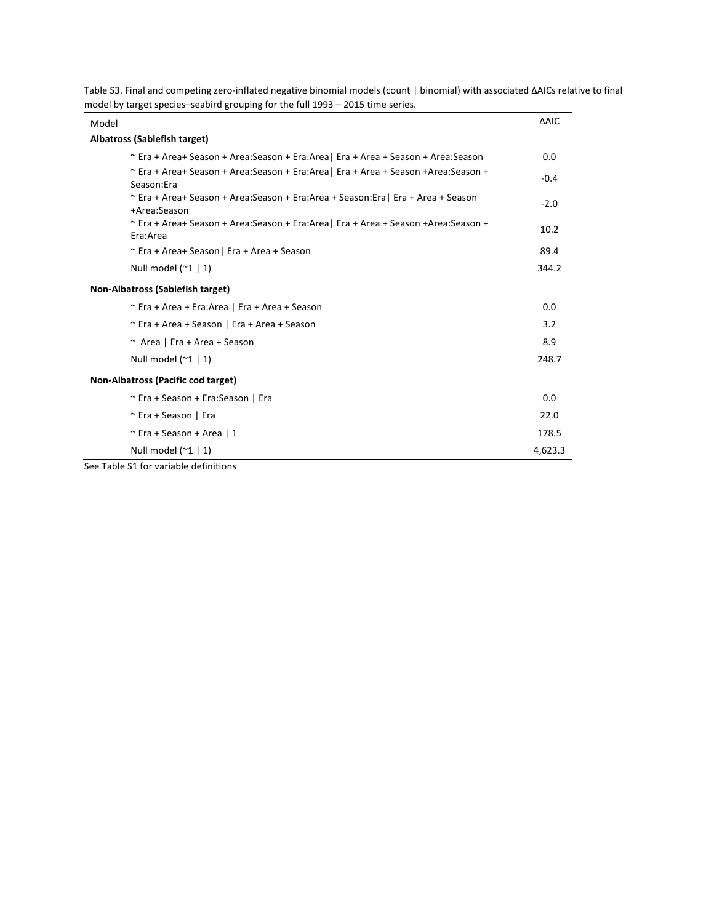| Model                                                                                                 | <b>AAIC</b> |
|-------------------------------------------------------------------------------------------------------|-------------|
| Albatross (Sablefish target)                                                                          |             |
| $\sim$ Era + Area+ Season + Area:Season + Era:Area   Era + Area + Season + Area:Season                | 0.0         |
| $\sim$ Era + Area+ Season + Area:Season + Era:Area   Era + Area + Season +Area:Season +<br>Season:Era | $-0.4$      |
| ~ Era + Area+ Season + Area:Season + Era:Area + Season:Era   Era + Area + Season<br>+Area:Season      | $-2.0$      |
| $\sim$ Era + Area+ Season + Area:Season + Era:Area   Era + Area + Season +Area:Season +<br>Era:Area   | 10.2        |
| ~ Era + Area+ Season   Era + Area + Season                                                            | 89.4        |
| Null model $(21   1)$                                                                                 | 344.2       |
| Non-Albatross (Sablefish target)                                                                      |             |
| ~ Era + Area + Era:Area   Era + Area + Season                                                         | 0.0         |
| $\sim$ Era + Area + Season   Era + Area + Season                                                      | 3.2         |
| ~ Area   Era + Area + Season                                                                          | 8.9         |
| Null model $(21   1)$                                                                                 | 248.7       |
| Non-Albatross (Pacific cod target)                                                                    |             |
| ~ Era + Season + Era:Season   Era                                                                     | 0.0         |
| ~ Era + Season   Era                                                                                  | 22.0        |
| $\sim$ Era + Season + Area   1                                                                        | 178.5       |
| Null model $(21   1)$                                                                                 | 4,623.3     |

Table S3. Final and competing zero-inflated negative binomial models (count | binomial) with associated ΔAICs relative to final model by target species-seabird grouping for the full 1993 – 2015 time series.

See Table S1 for variable definitions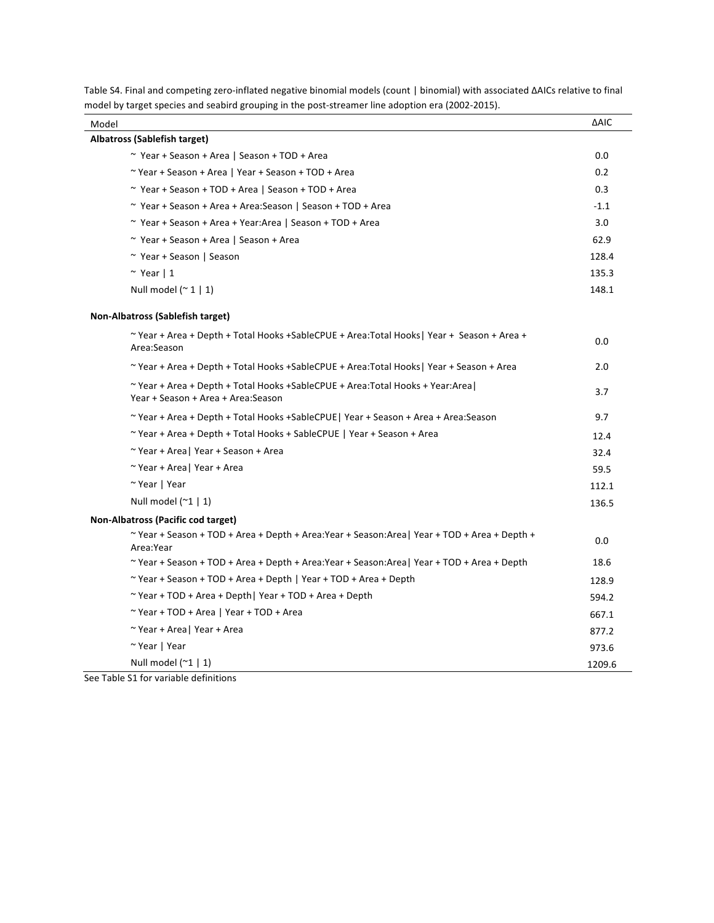| Model                                                                                                                 | <b>AAIC</b> |
|-----------------------------------------------------------------------------------------------------------------------|-------------|
| Albatross (Sablefish target)                                                                                          |             |
| ~ Year + Season + Area   Season + TOD + Area                                                                          | 0.0         |
| ~ Year + Season + Area   Year + Season + TOD + Area                                                                   | 0.2         |
| ~ Year + Season + TOD + Area   Season + TOD + Area                                                                    | 0.3         |
| ~ Year + Season + Area + Area: Season   Season + TOD + Area                                                           | $-1.1$      |
| ~ Year + Season + Area + Year: Area   Season + TOD + Area                                                             | 3.0         |
| ~ Year + Season + Area   Season + Area                                                                                | 62.9        |
| ~ Year + Season   Season                                                                                              | 128.4       |
| $~\sim$ Year   1                                                                                                      | 135.3       |
| Null model $($ $\sim$ 1   1)                                                                                          | 148.1       |
| Non-Albatross (Sablefish target)                                                                                      |             |
| $\sim$ Year + Area + Depth + Total Hooks + Sable CPUE + Area: Total Hooks   Year + Season + Area +<br>Area:Season     | 0.0         |
| ~ Year + Area + Depth + Total Hooks +SableCPUE + Area:Total Hooks   Year + Season + Area                              | 2.0         |
| ~Year + Area + Depth + Total Hooks +SableCPUE + Area:Total Hooks + Year:Area  <br>Year + Season + Area + Area: Season | 3.7         |
| ~Year + Area + Depth + Total Hooks +SableCPUE   Year + Season + Area + Area:Season                                    | 9.7         |
| ~ Year + Area + Depth + Total Hooks + SableCPUE   Year + Season + Area                                                | 12.4        |
| ~ Year + Area   Year + Season + Area                                                                                  | 32.4        |
| ~ Year + Area   Year + Area                                                                                           | 59.5        |
| ~ Year   Year                                                                                                         | 112.1       |
| Null model $(21   1)$                                                                                                 | 136.5       |
| Non-Albatross (Pacific cod target)                                                                                    |             |
| $\sim$ Year + Season + TOD + Area + Depth + Area: Year + Season: Area   Year + TOD + Area + Depth +<br>Area:Year      | 0.0         |
| ~Year + Season + TOD + Area + Depth + Area:Year + Season:Area   Year + TOD + Area + Depth                             | 18.6        |
| ~ Year + Season + TOD + Area + Depth   Year + TOD + Area + Depth                                                      | 128.9       |
| ~ Year + TOD + Area + Depth   Year + TOD + Area + Depth                                                               | 594.2       |
| ~ Year + TOD + Area   Year + TOD + Area                                                                               | 667.1       |
| ~ Year + Area   Year + Area                                                                                           | 877.2       |
| ~ Year   Year                                                                                                         | 973.6       |
| Null model $(21   1)$                                                                                                 | 1209.6      |

Table S4. Final and competing zero-inflated negative binomial models (count | binomial) with associated ΔAICs relative to final model by target species and seabird grouping in the post-streamer line adoption era (2002-2015).

See Table S1 for variable definitions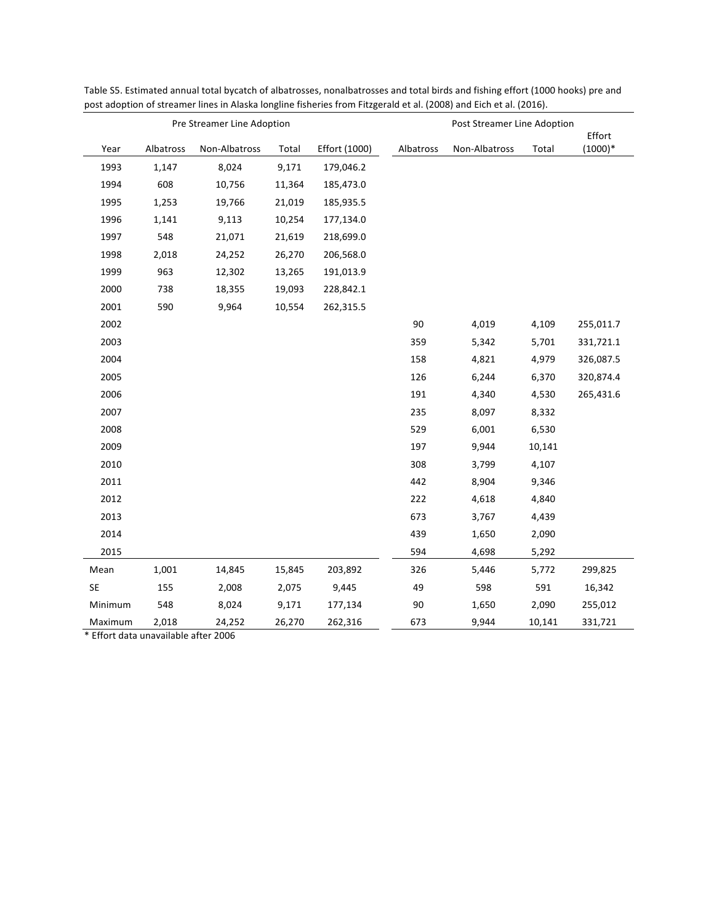| Pre Streamer Line Adoption |           |               | Post Streamer Line Adoption |               |           |               |        |                     |
|----------------------------|-----------|---------------|-----------------------------|---------------|-----------|---------------|--------|---------------------|
| Year                       | Albatross | Non-Albatross | Total                       | Effort (1000) | Albatross | Non-Albatross | Total  | Effort<br>$(1000)*$ |
| 1993                       | 1,147     | 8,024         | 9,171                       | 179,046.2     |           |               |        |                     |
| 1994                       | 608       | 10,756        | 11,364                      | 185,473.0     |           |               |        |                     |
| 1995                       | 1,253     | 19,766        | 21,019                      | 185,935.5     |           |               |        |                     |
| 1996                       | 1,141     | 9,113         | 10,254                      | 177,134.0     |           |               |        |                     |
| 1997                       | 548       | 21,071        | 21,619                      | 218,699.0     |           |               |        |                     |
| 1998                       | 2,018     | 24,252        | 26,270                      | 206,568.0     |           |               |        |                     |
| 1999                       | 963       | 12,302        | 13,265                      | 191,013.9     |           |               |        |                     |
| 2000                       | 738       | 18,355        | 19,093                      | 228,842.1     |           |               |        |                     |
| 2001                       | 590       | 9,964         | 10,554                      | 262,315.5     |           |               |        |                     |
| 2002                       |           |               |                             |               | 90        | 4,019         | 4,109  | 255,011.7           |
| 2003                       |           |               |                             |               | 359       | 5,342         | 5,701  | 331,721.1           |
| 2004                       |           |               |                             |               | 158       | 4,821         | 4,979  | 326,087.5           |
| 2005                       |           |               |                             |               | 126       | 6,244         | 6,370  | 320,874.4           |
| 2006                       |           |               |                             |               | 191       | 4,340         | 4,530  | 265,431.6           |
| 2007                       |           |               |                             |               | 235       | 8,097         | 8,332  |                     |
| 2008                       |           |               |                             |               | 529       | 6,001         | 6,530  |                     |
| 2009                       |           |               |                             |               | 197       | 9,944         | 10,141 |                     |
| 2010                       |           |               |                             |               | 308       | 3,799         | 4,107  |                     |
| 2011                       |           |               |                             |               | 442       | 8,904         | 9,346  |                     |
| 2012                       |           |               |                             |               | 222       | 4,618         | 4,840  |                     |
| 2013                       |           |               |                             |               | 673       | 3,767         | 4,439  |                     |
| 2014                       |           |               |                             |               | 439       | 1,650         | 2,090  |                     |
| 2015                       |           |               |                             |               | 594       | 4,698         | 5,292  |                     |
| Mean                       | 1,001     | 14,845        | 15,845                      | 203,892       | 326       | 5,446         | 5,772  | 299,825             |
| SE                         | 155       | 2,008         | 2,075                       | 9,445         | 49        | 598           | 591    | 16,342              |
| Minimum                    | 548       | 8,024         | 9,171                       | 177,134       | $90\,$    | 1,650         | 2,090  | 255,012             |
| Maximum                    | 2,018     | 24,252        | 26,270                      | 262,316       | 673       | 9,944         | 10,141 | 331,721             |

Table S5. Estimated annual total bycatch of albatrosses, nonalbatrosses and total birds and fishing effort (1000 hooks) pre and post adoption of streamer lines in Alaska longline fisheries from Fitzgerald et al. (2008) and Eich et al. (2016).

\* Effort data unavailable after 2006